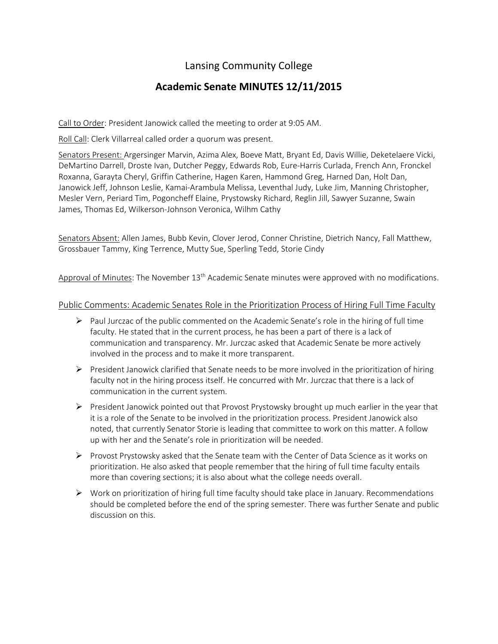# Lansing Community College

# **Academic Senate MINUTES 12/11/2015**

Call to Order: President Janowick called the meeting to order at 9:05 AM.

Roll Call: Clerk Villarreal called order a quorum was present.

Senators Present: Argersinger Marvin, Azima Alex, Boeve Matt, Bryant Ed, Davis Willie, Deketelaere Vicki, DeMartino Darrell, Droste Ivan, Dutcher Peggy, Edwards Rob, Eure-Harris Curlada, French Ann, Fronckel Roxanna, Garayta Cheryl, Griffin Catherine, Hagen Karen, Hammond Greg, Harned Dan, Holt Dan, Janowick Jeff, Johnson Leslie, Kamai-Arambula Melissa, Leventhal Judy, Luke Jim, Manning Christopher, Mesler Vern, Periard Tim, Pogoncheff Elaine, Prystowsky Richard, Reglin Jill, Sawyer Suzanne, Swain James, Thomas Ed, Wilkerson-Johnson Veronica, Wilhm Cathy

Senators Absent: Allen James, Bubb Kevin, Clover Jerod, Conner Christine, Dietrich Nancy, Fall Matthew, Grossbauer Tammy, King Terrence, Mutty Sue, Sperling Tedd, Storie Cindy

Approval of Minutes: The November 13<sup>th</sup> Academic Senate minutes were approved with no modifications.

## Public Comments: Academic Senates Role in the Prioritization Process of Hiring Full Time Faculty

- $\triangleright$  Paul Jurczac of the public commented on the Academic Senate's role in the hiring of full time faculty. He stated that in the current process, he has been a part of there is a lack of communication and transparency. Mr. Jurczac asked that Academic Senate be more actively involved in the process and to make it more transparent.
- $\triangleright$  President Janowick clarified that Senate needs to be more involved in the prioritization of hiring faculty not in the hiring process itself. He concurred with Mr. Jurczac that there is a lack of communication in the current system.
- $\triangleright$  President Janowick pointed out that Provost Prystowsky brought up much earlier in the year that it is a role of the Senate to be involved in the prioritization process. President Janowick also noted, that currently Senator Storie is leading that committee to work on this matter. A follow up with her and the Senate's role in prioritization will be needed.
- $\triangleright$  Provost Prystowsky asked that the Senate team with the Center of Data Science as it works on prioritization. He also asked that people remember that the hiring of full time faculty entails more than covering sections; it is also about what the college needs overall.
- $\triangleright$  Work on prioritization of hiring full time faculty should take place in January. Recommendations should be completed before the end of the spring semester. There was further Senate and public discussion on this.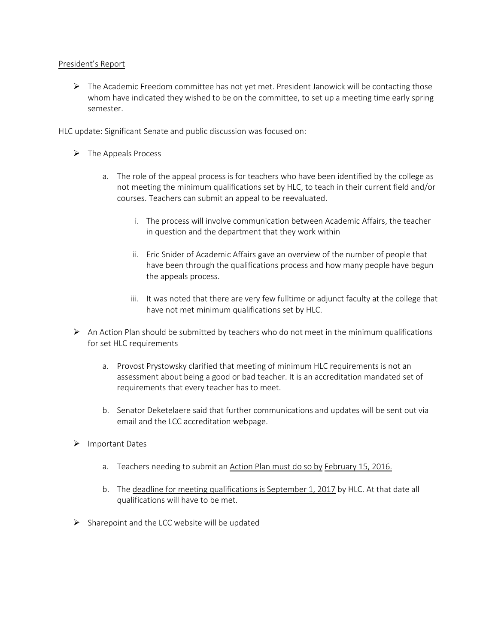## President's Report

 $\triangleright$  The Academic Freedom committee has not yet met. President Janowick will be contacting those whom have indicated they wished to be on the committee, to set up a meeting time early spring semester.

HLC update: Significant Senate and public discussion was focused on:

- $\triangleright$  The Appeals Process
	- a. The role of the appeal process is for teachers who have been identified by the college as not meeting the minimum qualifications set by HLC, to teach in their current field and/or courses. Teachers can submit an appeal to be reevaluated.
		- i. The process will involve communication between Academic Affairs, the teacher in question and the department that they work within
		- ii. Eric Snider of Academic Affairs gave an overview of the number of people that have been through the qualifications process and how many people have begun the appeals process.
		- iii. It was noted that there are very few fulltime or adjunct faculty at the college that have not met minimum qualifications set by HLC.
- $\triangleright$  An Action Plan should be submitted by teachers who do not meet in the minimum qualifications for set HLC requirements
	- a. Provost Prystowsky clarified that meeting of minimum HLC requirements is not an assessment about being a good or bad teacher. It is an accreditation mandated set of requirements that every teacher has to meet.
	- b. Senator Deketelaere said that further communications and updates will be sent out via email and the LCC accreditation webpage.
- > Important Dates
	- a. Teachers needing to submit an Action Plan must do so by February 15, 2016.
	- b. The deadline for meeting qualifications is September 1, 2017 by HLC. At that date all qualifications will have to be met.
- $\triangleright$  Sharepoint and the LCC website will be updated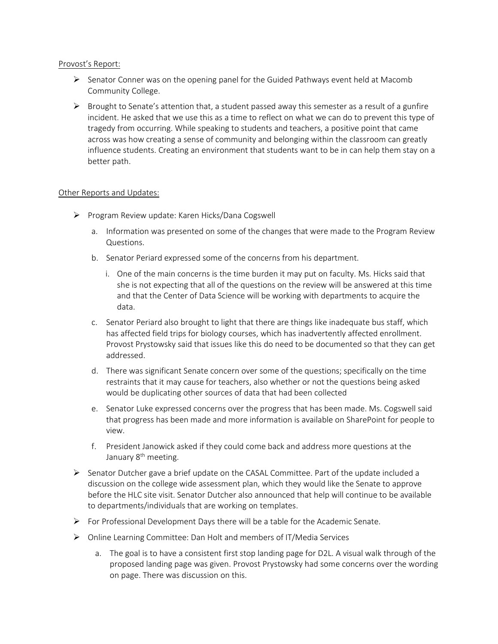#### Provost's Report:

- $\triangleright$  Senator Conner was on the opening panel for the Guided Pathways event held at Macomb Community College.
- $\triangleright$  Brought to Senate's attention that, a student passed away this semester as a result of a gunfire incident. He asked that we use this as a time to reflect on what we can do to prevent this type of tragedy from occurring. While speaking to students and teachers, a positive point that came across was how creating a sense of community and belonging within the classroom can greatly influence students. Creating an environment that students want to be in can help them stay on a better path.

## Other Reports and Updates:

- $\triangleright$  Program Review update: Karen Hicks/Dana Cogswell
	- a. Information was presented on some of the changes that were made to the Program Review Questions.
	- b. Senator Periard expressed some of the concerns from his department.
		- i. One of the main concerns is the time burden it may put on faculty. Ms. Hicks said that she is not expecting that all of the questions on the review will be answered at this time and that the Center of Data Science will be working with departments to acquire the data.
	- c. Senator Periard also brought to light that there are things like inadequate bus staff, which has affected field trips for biology courses, which has inadvertently affected enrollment. Provost Prystowsky said that issues like this do need to be documented so that they can get addressed.
	- d. There was significant Senate concern over some of the questions; specifically on the time restraints that it may cause for teachers, also whether or not the questions being asked would be duplicating other sources of data that had been collected
	- e. Senator Luke expressed concerns over the progress that has been made. Ms. Cogswell said that progress has been made and more information is available on SharePoint for people to view.
	- f. President Janowick asked if they could come back and address more questions at the January 8<sup>th</sup> meeting.
- $\triangleright$  Senator Dutcher gave a brief update on the CASAL Committee. Part of the update included a discussion on the college wide assessment plan, which they would like the Senate to approve before the HLC site visit. Senator Dutcher also announced that help will continue to be available to departments/individuals that are working on templates.
- $\triangleright$  For Professional Development Days there will be a table for the Academic Senate.
- Online Learning Committee: Dan Holt and members of IT/Media Services
	- a. The goal is to have a consistent first stop landing page for D2L. A visual walk through of the proposed landing page was given. Provost Prystowsky had some concerns over the wording on page. There was discussion on this.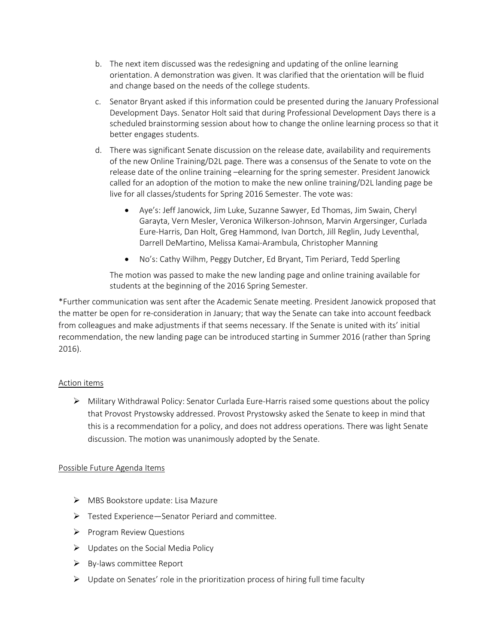- b. The next item discussed was the redesigning and updating of the online learning orientation. A demonstration was given. It was clarified that the orientation will be fluid and change based on the needs of the college students.
- c. Senator Bryant asked if this information could be presented during the January Professional Development Days. Senator Holt said that during Professional Development Days there is a scheduled brainstorming session about how to change the online learning process so that it better engages students.
- d. There was significant Senate discussion on the release date, availability and requirements of the new Online Training/D2L page. There was a consensus of the Senate to vote on the release date of the online training –elearning for the spring semester. President Janowick called for an adoption of the motion to make the new online training/D2L landing page be live for all classes/students for Spring 2016 Semester. The vote was:
	- Aye's: Jeff Janowick, Jim Luke, Suzanne Sawyer, Ed Thomas, Jim Swain, Cheryl Garayta, Vern Mesler, Veronica Wilkerson-Johnson, Marvin Argersinger, Curlada Eure-Harris, Dan Holt, Greg Hammond, Ivan Dortch, Jill Reglin, Judy Leventhal, Darrell DeMartino, Melissa Kamai-Arambula, Christopher Manning
	- No's: Cathy Wilhm, Peggy Dutcher, Ed Bryant, Tim Periard, Tedd Sperling

The motion was passed to make the new landing page and online training available for students at the beginning of the 2016 Spring Semester.

\*Further communication was sent after the Academic Senate meeting. President Janowick proposed that the matter be open for re-consideration in January; that way the Senate can take into account feedback from colleagues and make adjustments if that seems necessary. If the Senate is united with its' initial recommendation, the new landing page can be introduced starting in Summer 2016 (rather than Spring 2016).

# Action items

 $\triangleright$  Military Withdrawal Policy: Senator Curlada Eure-Harris raised some questions about the policy that Provost Prystowsky addressed. Provost Prystowsky asked the Senate to keep in mind that this is a recommendation for a policy, and does not address operations. There was light Senate discussion. The motion was unanimously adopted by the Senate.

# Possible Future Agenda Items

- MBS Bookstore update: Lisa Mazure
- $\triangleright$  Tested Experience—Senator Periard and committee.
- $\triangleright$  Program Review Questions
- $\triangleright$  Updates on the Social Media Policy
- $\triangleright$  By-laws committee Report
- $\triangleright$  Update on Senates' role in the prioritization process of hiring full time faculty